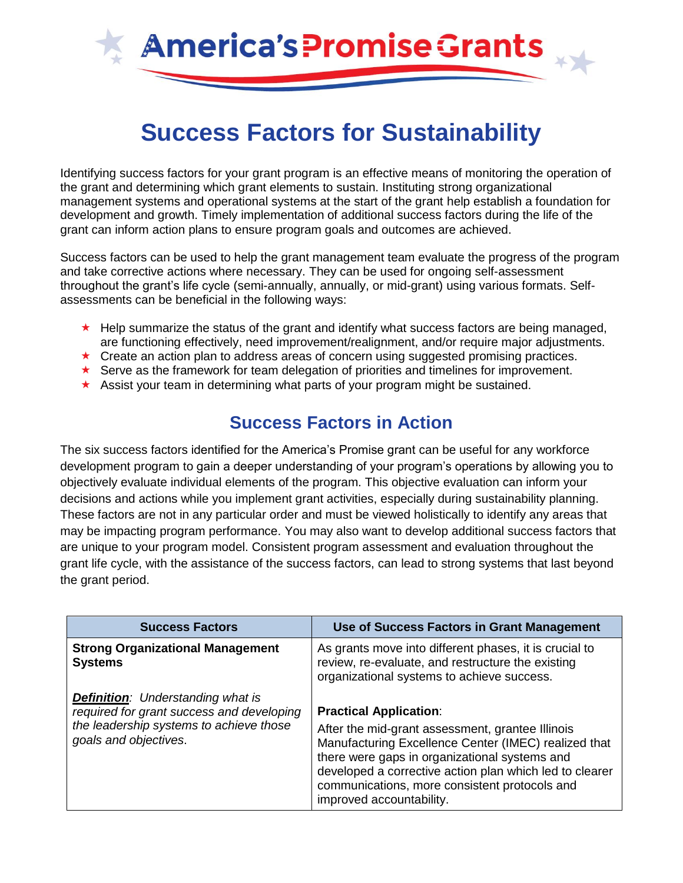

# **Success Factors for Sustainability**

Identifying success factors for your grant program is an effective means of monitoring the operation of the grant and determining which grant elements to sustain. Instituting strong organizational management systems and operational systems at the start of the grant help establish a foundation for development and growth. Timely implementation of additional success factors during the life of the grant can inform action plans to ensure program goals and outcomes are achieved.

Success factors can be used to help the grant management team evaluate the progress of the program and take corrective actions where necessary. They can be used for ongoing self-assessment throughout the grant's life cycle (semi-annually, annually, or mid-grant) using various formats. Selfassessments can be beneficial in the following ways:

- $\star$  Help summarize the status of the grant and identify what success factors are being managed, are functioning effectively, need improvement/realignment, and/or require major adjustments.
- $\star$  Create an action plan to address areas of concern using suggested promising practices.
- Serve as the framework for team delegation of priorities and timelines for improvement.
- Assist your team in determining what parts of your program might be sustained.

## **Success Factors in Action**

The six success factors identified for the America's Promise grant can be useful for any workforce development program to gain a deeper understanding of your program's operations by allowing you to objectively evaluate individual elements of the program. This objective evaluation can inform your decisions and actions while you implement grant activities, especially during sustainability planning. These factors are not in any particular order and must be viewed holistically to identify any areas that may be impacting program performance. You may also want to develop additional success factors that are unique to your program model. Consistent program assessment and evaluation throughout the grant life cycle, with the assistance of the success factors, can lead to strong systems that last beyond the grant period.

| <b>Success Factors</b>                                                                                                                                    | Use of Success Factors in Grant Management                                                                                                                                                                                                                                                                                         |
|-----------------------------------------------------------------------------------------------------------------------------------------------------------|------------------------------------------------------------------------------------------------------------------------------------------------------------------------------------------------------------------------------------------------------------------------------------------------------------------------------------|
| <b>Strong Organizational Management</b><br><b>Systems</b>                                                                                                 | As grants move into different phases, it is crucial to<br>review, re-evaluate, and restructure the existing<br>organizational systems to achieve success.                                                                                                                                                                          |
| <b>Definition:</b> Understanding what is<br>required for grant success and developing<br>the leadership systems to achieve those<br>goals and objectives. | <b>Practical Application:</b><br>After the mid-grant assessment, grantee Illinois<br>Manufacturing Excellence Center (IMEC) realized that<br>there were gaps in organizational systems and<br>developed a corrective action plan which led to clearer<br>communications, more consistent protocols and<br>improved accountability. |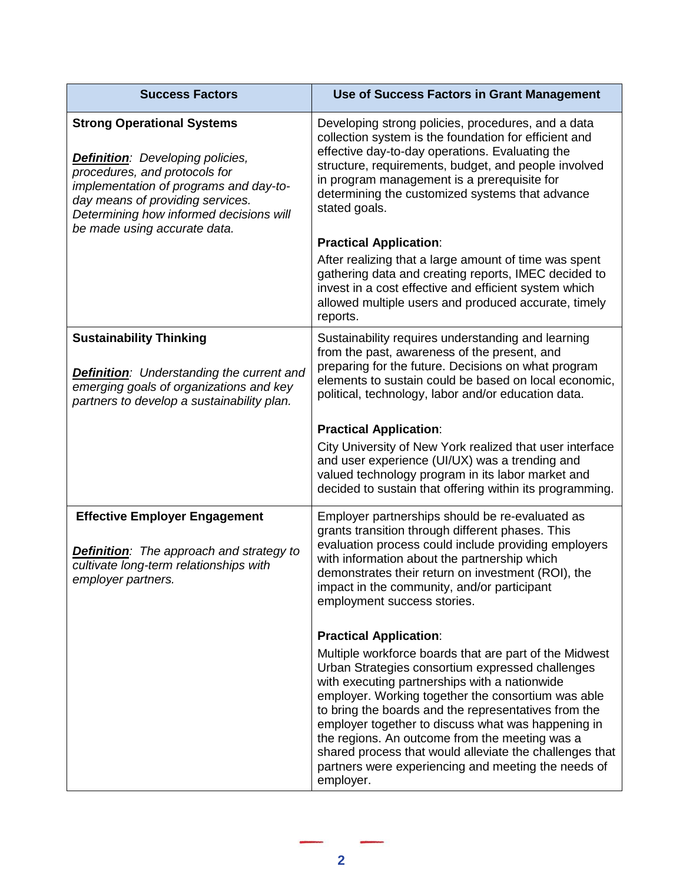| <b>Success Factors</b>                                                                                                                                                                                                                                                 | Use of Success Factors in Grant Management                                                                                                                                                                                                                                                                                                                                                                                                                                                                       |
|------------------------------------------------------------------------------------------------------------------------------------------------------------------------------------------------------------------------------------------------------------------------|------------------------------------------------------------------------------------------------------------------------------------------------------------------------------------------------------------------------------------------------------------------------------------------------------------------------------------------------------------------------------------------------------------------------------------------------------------------------------------------------------------------|
| <b>Strong Operational Systems</b><br><b>Definition:</b> Developing policies,<br>procedures, and protocols for<br>implementation of programs and day-to-<br>day means of providing services.<br>Determining how informed decisions will<br>be made using accurate data. | Developing strong policies, procedures, and a data<br>collection system is the foundation for efficient and<br>effective day-to-day operations. Evaluating the<br>structure, requirements, budget, and people involved<br>in program management is a prerequisite for<br>determining the customized systems that advance<br>stated goals.                                                                                                                                                                        |
|                                                                                                                                                                                                                                                                        | <b>Practical Application:</b>                                                                                                                                                                                                                                                                                                                                                                                                                                                                                    |
|                                                                                                                                                                                                                                                                        | After realizing that a large amount of time was spent<br>gathering data and creating reports, IMEC decided to<br>invest in a cost effective and efficient system which<br>allowed multiple users and produced accurate, timely<br>reports.                                                                                                                                                                                                                                                                       |
| <b>Sustainability Thinking</b><br><b>Definition:</b> Understanding the current and<br>emerging goals of organizations and key<br>partners to develop a sustainability plan.                                                                                            | Sustainability requires understanding and learning<br>from the past, awareness of the present, and<br>preparing for the future. Decisions on what program<br>elements to sustain could be based on local economic,<br>political, technology, labor and/or education data.                                                                                                                                                                                                                                        |
|                                                                                                                                                                                                                                                                        | <b>Practical Application:</b>                                                                                                                                                                                                                                                                                                                                                                                                                                                                                    |
|                                                                                                                                                                                                                                                                        | City University of New York realized that user interface<br>and user experience (UI/UX) was a trending and<br>valued technology program in its labor market and<br>decided to sustain that offering within its programming.                                                                                                                                                                                                                                                                                      |
| <b>Effective Employer Engagement</b><br><b>Definition:</b> The approach and strategy to<br>cultivate long-term relationships with<br>employer partners.                                                                                                                | Employer partnerships should be re-evaluated as<br>grants transition through different phases. This<br>evaluation process could include providing employers<br>with information about the partnership which<br>demonstrates their return on investment (ROI), the<br>impact in the community, and/or participant<br>employment success stories.                                                                                                                                                                  |
|                                                                                                                                                                                                                                                                        | <b>Practical Application:</b>                                                                                                                                                                                                                                                                                                                                                                                                                                                                                    |
|                                                                                                                                                                                                                                                                        | Multiple workforce boards that are part of the Midwest<br>Urban Strategies consortium expressed challenges<br>with executing partnerships with a nationwide<br>employer. Working together the consortium was able<br>to bring the boards and the representatives from the<br>employer together to discuss what was happening in<br>the regions. An outcome from the meeting was a<br>shared process that would alleviate the challenges that<br>partners were experiencing and meeting the needs of<br>employer. |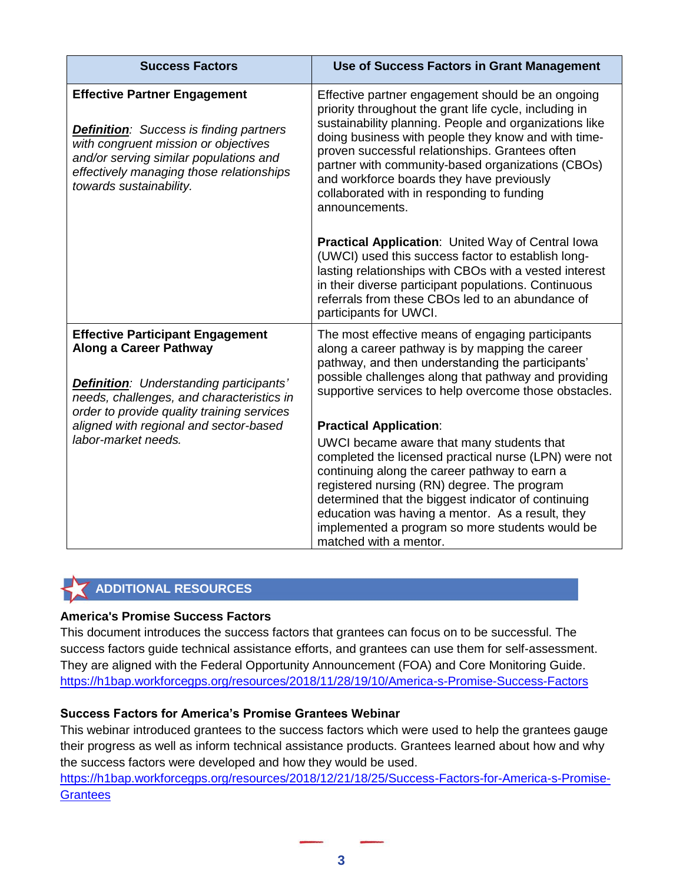| <b>Success Factors</b>                                                                                                                                                                                                                                                                 | Use of Success Factors in Grant Management                                                                                                                                                                                                                                                                                                                                                                                                        |
|----------------------------------------------------------------------------------------------------------------------------------------------------------------------------------------------------------------------------------------------------------------------------------------|---------------------------------------------------------------------------------------------------------------------------------------------------------------------------------------------------------------------------------------------------------------------------------------------------------------------------------------------------------------------------------------------------------------------------------------------------|
| <b>Effective Partner Engagement</b><br><b>Definition:</b> Success is finding partners<br>with congruent mission or objectives<br>and/or serving similar populations and<br>effectively managing those relationships<br>towards sustainability.                                         | Effective partner engagement should be an ongoing<br>priority throughout the grant life cycle, including in<br>sustainability planning. People and organizations like<br>doing business with people they know and with time-<br>proven successful relationships. Grantees often<br>partner with community-based organizations (CBOs)<br>and workforce boards they have previously<br>collaborated with in responding to funding<br>announcements. |
|                                                                                                                                                                                                                                                                                        | <b>Practical Application: United Way of Central lowa</b><br>(UWCI) used this success factor to establish long-<br>lasting relationships with CBOs with a vested interest<br>in their diverse participant populations. Continuous<br>referrals from these CBOs led to an abundance of<br>participants for UWCI.                                                                                                                                    |
| <b>Effective Participant Engagement</b><br><b>Along a Career Pathway</b><br><b>Definition:</b> Understanding participants'<br>needs, challenges, and characteristics in<br>order to provide quality training services<br>aligned with regional and sector-based<br>labor-market needs. | The most effective means of engaging participants<br>along a career pathway is by mapping the career<br>pathway, and then understanding the participants'<br>possible challenges along that pathway and providing<br>supportive services to help overcome those obstacles.                                                                                                                                                                        |
|                                                                                                                                                                                                                                                                                        | <b>Practical Application:</b>                                                                                                                                                                                                                                                                                                                                                                                                                     |
|                                                                                                                                                                                                                                                                                        | UWCI became aware that many students that<br>completed the licensed practical nurse (LPN) were not<br>continuing along the career pathway to earn a<br>registered nursing (RN) degree. The program<br>determined that the biggest indicator of continuing<br>education was having a mentor. As a result, they<br>implemented a program so more students would be<br>matched with a mentor.                                                        |

### **ADDITIONAL RESOURCES**

#### **America's Promise Success Factors**

This document introduces the success factors that grantees can focus on to be successful. The success factors guide technical assistance efforts, and grantees can use them for self-assessment. They are aligned with the Federal Opportunity Announcement (FOA) and Core Monitoring Guide. <https://h1bap.workforcegps.org/resources/2018/11/28/19/10/America-s-Promise-Success-Factors>

#### **Success Factors for America's Promise Grantees Webinar**

This webinar introduced grantees to the success factors which were used to help the grantees gauge their progress as well as inform technical assistance products. Grantees learned about how and why the success factors were developed and how they would be used.

[https://h1bap.workforcegps.org/resources/2018/12/21/18/25/Success-Factors-for-America-s-Promise-](https://h1bap.workforcegps.org/resources/2018/12/21/18/25/Success-Factors-for-America-s-Promise-Grantees)**[Grantees](https://h1bap.workforcegps.org/resources/2018/12/21/18/25/Success-Factors-for-America-s-Promise-Grantees)**